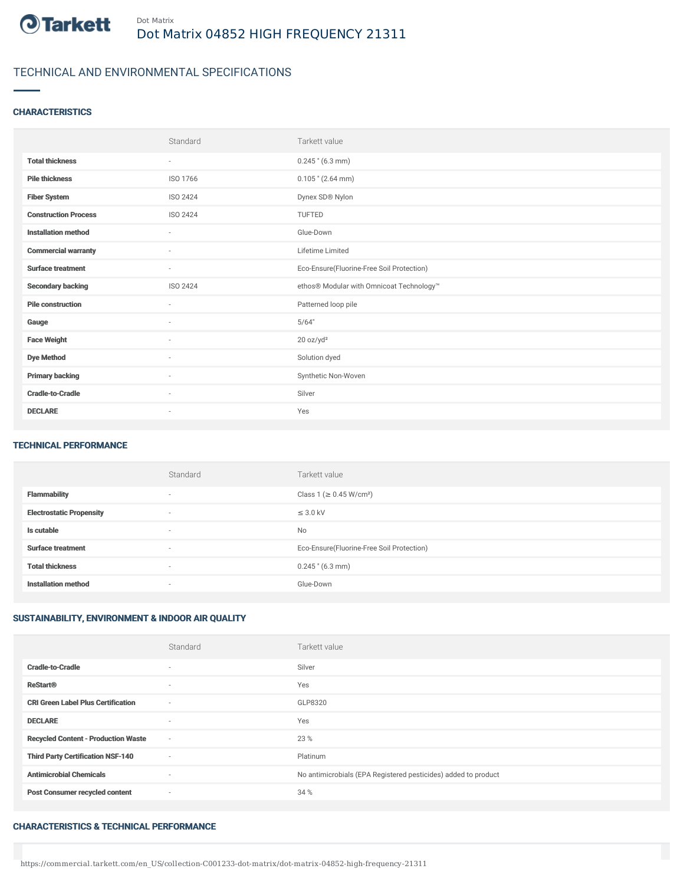

## TECHNICAL AND ENVIRONMENTAL SPECIFICATIONS

## **CHARACTERISTICS**

|                             | Standard                 | Tarkett value                             |
|-----------------------------|--------------------------|-------------------------------------------|
| <b>Total thickness</b>      | $\sim$                   | $0.245$ " (6.3 mm)                        |
| <b>Pile thickness</b>       | ISO 1766                 | $0.105$ " (2.64 mm)                       |
| <b>Fiber System</b>         | ISO 2424                 | Dynex SD® Nylon                           |
| <b>Construction Process</b> | ISO 2424                 | TUFTED                                    |
| <b>Installation method</b>  | $\sim$                   | Glue-Down                                 |
| <b>Commercial warranty</b>  | $\sim$                   | Lifetime Limited                          |
| <b>Surface treatment</b>    | $\sim$                   | Eco-Ensure(Fluorine-Free Soil Protection) |
| <b>Secondary backing</b>    | ISO 2424                 | ethos® Modular with Omnicoat Technology™  |
| <b>Pile construction</b>    | $\overline{\phantom{a}}$ | Patterned loop pile                       |
| Gauge                       | ×.                       | 5/64"                                     |
| <b>Face Weight</b>          | ٠                        | 20 oz/yd <sup>2</sup>                     |
| <b>Dye Method</b>           | $\sim$                   | Solution dyed                             |
| <b>Primary backing</b>      | $\sim$                   | Synthetic Non-Woven                       |
| <b>Cradle-to-Cradle</b>     | ٠                        | Silver                                    |
| <b>DECLARE</b>              | $\overline{\phantom{a}}$ | Yes                                       |

#### TECHNICAL PERFORMANCE

|                                 | Standard                 | Tarkett value                             |
|---------------------------------|--------------------------|-------------------------------------------|
| <b>Flammability</b>             | $\overline{\phantom{a}}$ | Class 1 (≥ 0.45 W/cm <sup>2</sup> )       |
| <b>Electrostatic Propensity</b> | $\sim$                   | $\leq$ 3.0 kV                             |
| Is cutable                      | $\sim$                   | <b>No</b>                                 |
| <b>Surface treatment</b>        | $\sim$                   | Eco-Ensure(Fluorine-Free Soil Protection) |
| <b>Total thickness</b>          | $\overline{\phantom{a}}$ | $0.245$ " (6.3 mm)                        |
| <b>Installation method</b>      | $\sim$                   | Glue-Down                                 |

## SUSTAINABILITY, ENVIRONMENT & INDOOR AIR QUALITY

|                                            | Standard | Tarkett value                                                  |
|--------------------------------------------|----------|----------------------------------------------------------------|
| <b>Cradle-to-Cradle</b>                    | $\sim$   | Silver                                                         |
| <b>ReStart®</b>                            | $\sim$   | Yes                                                            |
| <b>CRI Green Label Plus Certification</b>  | $\sim$   | GLP8320                                                        |
| <b>DECLARE</b>                             | $\sim$   | Yes                                                            |
| <b>Recycled Content - Production Waste</b> | $\sim$   | 23 %                                                           |
| <b>Third Party Certification NSF-140</b>   | $\sim$   | Platinum                                                       |
| <b>Antimicrobial Chemicals</b>             | $\sim$   | No antimicrobials (EPA Registered pesticides) added to product |
| <b>Post Consumer recycled content</b>      | $\sim$   | 34 %                                                           |

#### CHARACTERISTICS & TECHNICAL PERFORMANCE